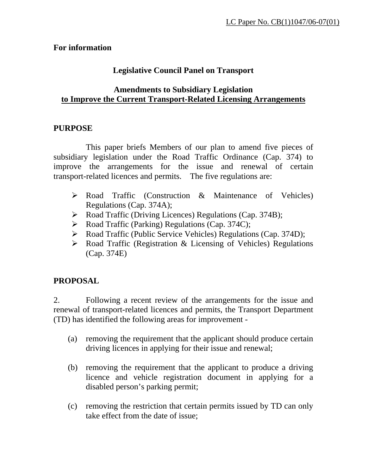#### **For information**

### **Legislative Council Panel on Transport**

#### **Amendments to Subsidiary Legislation to Improve the Current Transport-Related Licensing Arrangements**

#### **PURPOSE**

This paper briefs Members of our plan to amend five pieces of subsidiary legislation under the Road Traffic Ordinance (Cap. 374) to improve the arrangements for the issue and renewal of certain transport-related licences and permits. The five regulations are:

- ¾ Road Traffic (Construction & Maintenance of Vehicles) Regulations (Cap. 374A);
- ¾ Road Traffic (Driving Licences) Regulations (Cap. 374B);
- ¾ Road Traffic (Parking) Regulations (Cap. 374C);
- ¾ Road Traffic (Public Service Vehicles) Regulations (Cap. 374D);
- $\triangleright$  Road Traffic (Registration & Licensing of Vehicles) Regulations (Cap. 374E)

### **PROPOSAL**

2. Following a recent review of the arrangements for the issue and renewal of transport-related licences and permits, the Transport Department (TD) has identified the following areas for improvement -

- (a) removing the requirement that the applicant should produce certain driving licences in applying for their issue and renewal;
- (b) removing the requirement that the applicant to produce a driving licence and vehicle registration document in applying for a disabled person's parking permit;
- (c) removing the restriction that certain permits issued by TD can only take effect from the date of issue;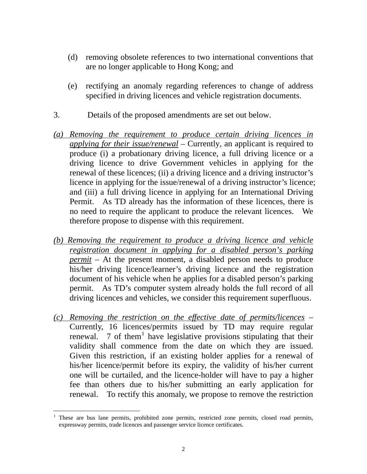- (d) removing obsolete references to two international conventions that are no longer applicable to Hong Kong; and
- (e) rectifying an anomaly regarding references to change of address specified in driving licences and vehicle registration documents.
- 3. Details of the proposed amendments are set out below.
- *(a) Removing the requirement to produce certain driving licences in applying for their issue/renewal* – Currently, an applicant is required to produce (i) a probationary driving licence, a full driving licence or a driving licence to drive Government vehicles in applying for the renewal of these licences; (ii) a driving licence and a driving instructor's licence in applying for the issue/renewal of a driving instructor's licence; and (iii) a full driving licence in applying for an International Driving Permit. As TD already has the information of these licences, there is no need to require the applicant to produce the relevant licences. We therefore propose to dispense with this requirement.
- *(b) Removing the requirement to produce a driving licence and vehicle registration document in applying for a disabled person's parking permit* – At the present moment, a disabled person needs to produce his/her driving licence/learner's driving licence and the registration document of his vehicle when he applies for a disabled person's parking permit. As TD's computer system already holds the full record of all driving licences and vehicles, we consider this requirement superfluous.
- *(c) Removing the restriction on the effective date of permits/licences* Currently, 16 licences/permits issued by TD may require regular renewal.  $\overline{7}$  of them<sup>[1](#page-1-0)</sup> have legislative provisions stipulating that their validity shall commence from the date on which they are issued. Given this restriction, if an existing holder applies for a renewal of his/her licence/permit before its expiry, the validity of his/her current one will be curtailed, and the licence-holder will have to pay a higher fee than others due to his/her submitting an early application for renewal. To rectify this anomaly, we propose to remove the restriction

 $\overline{a}$ 

<span id="page-1-0"></span><sup>1</sup> These are bus lane permits, prohibited zone permits, restricted zone permits, closed road permits, expressway permits, trade licences and passenger service licence certificates.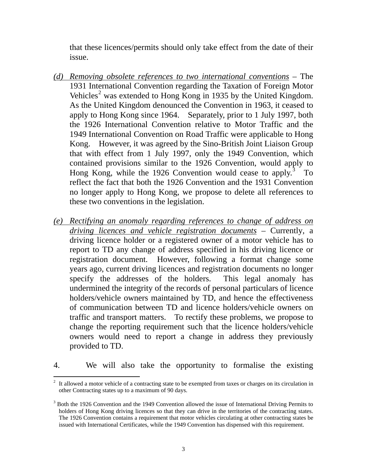that these licences/permits should only take effect from the date of their issue.

- *(d) Removing obsolete references to two international conventions* The 1931 International Convention regarding the Taxation of Foreign Motor Vehicles<sup>[2](#page-2-0)</sup> was extended to Hong Kong in 1935 by the United Kingdom. As the United Kingdom denounced the Convention in 1963, it ceased to apply to Hong Kong since 1964. Separately, prior to 1 July 1997, both the 1926 International Convention relative to Motor Traffic and the 1949 International Convention on Road Traffic were applicable to Hong Kong. However, it was agreed by the Sino-British Joint Liaison Group that with effect from 1 July 1997, only the 1949 Convention, which contained provisions similar to the 1926 Convention, would apply to Hong Kong, while the 1926 Convention would cease to apply.<sup>[3](#page-2-1)</sup> To reflect the fact that both the 1926 Convention and the 1931 Convention no longer apply to Hong Kong, we propose to delete all references to these two conventions in the legislation.
- *(e) Rectifying an anomaly regarding references to change of address on driving licences and vehicle registration documents* – Currently, a driving licence holder or a registered owner of a motor vehicle has to report to TD any change of address specified in his driving licence or registration document. However, following a format change some years ago, current driving licences and registration documents no longer specify the addresses of the holders. This legal anomaly has undermined the integrity of the records of personal particulars of licence holders/vehicle owners maintained by TD, and hence the effectiveness of communication between TD and licence holders/vehicle owners on traffic and transport matters. To rectify these problems, we propose to change the reporting requirement such that the licence holders/vehicle owners would need to report a change in address they previously provided to TD.
- 4. We will also take the opportunity to formalise the existing

 $\overline{a}$ 

<span id="page-2-0"></span> $2<sup>2</sup>$  It allowed a motor vehicle of a contracting state to be exempted from taxes or charges on its circulation in other Contracting states up to a maximum of 90 days.

<span id="page-2-1"></span> $3$  Both the 1926 Convention and the 1949 Convention allowed the issue of International Driving Permits to holders of Hong Kong driving licences so that they can drive in the territories of the contracting states. The 1926 Convention contains a requirement that motor vehicles circulating at other contracting states be issued with International Certificates, while the 1949 Convention has dispensed with this requirement.